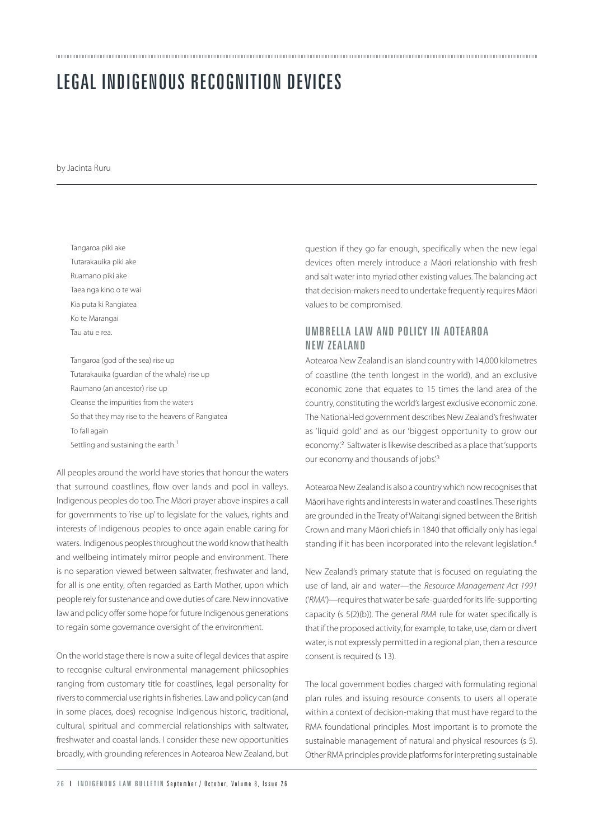## LEGAL INDIGENOUS RECOGNITION DEVICES

by Jacinta Ruru

Tangaroa piki ake Tutarakauika piki ake Ruamano piki ake Taea nga kino o te wai Kia puta ki Rangiatea Ko te Marangai Tau atu e rea.

Tangaroa (god of the sea) rise up Tutarakauika (guardian of the whale) rise up Raumano (an ancestor) rise up Cleanse the impurities from the waters So that they may rise to the heavens of Rangiatea To fall again Settling and sustaining the earth.<sup>1</sup>

All peoples around the world have stories that honour the waters that surround coastlines, flow over lands and pool in valleys. Indigenous peoples do too. The Māori prayer above inspires a call for governments to 'rise up' to legislate for the values, rights and interests of Indigenous peoples to once again enable caring for waters. Indigenous peoples throughout the world know that health and wellbeing intimately mirror people and environment. There is no separation viewed between saltwater, freshwater and land, for all is one entity, often regarded as Earth Mother, upon which people rely for sustenance and owe duties of care. New innovative law and policy offer some hope for future Indigenous generations to regain some governance oversight of the environment.

On the world stage there is now a suite of legal devices that aspire to recognise cultural environmental management philosophies ranging from customary title for coastlines, legal personality for rivers to commercial use rights in fisheries. Law and policy can (and in some places, does) recognise Indigenous historic, traditional, cultural, spiritual and commercial relationships with saltwater, freshwater and coastal lands. I consider these new opportunities broadly, with grounding references in Aotearoa New Zealand, but question if they go far enough, specifically when the new legal devices often merely introduce a Māori relationship with fresh and salt water into myriad other existing values. The balancing act that decision-makers need to undertake frequently requires Māori values to be compromised.

## UMBRELLA LAW AND POLICY IN AOTEAROA NEW ZEALAND

Aotearoa New Zealand is an island country with 14,000 kilometres of coastline (the tenth longest in the world), and an exclusive economic zone that equates to 15 times the land area of the country, constituting the world's largest exclusive economic zone. The National-led government describes New Zealand's freshwater as 'liquid gold' and as our 'biggest opportunity to grow our economy'.<sup>2</sup> Saltwater is likewise described as a place that 'supports our economy and thousands of jobs.<sup>3</sup>

Aotearoa New Zealand is also a country which now recognises that Māori have rights and interests in water and coastlines. These rights are grounded in the Treaty of Waitangi signed between the British Crown and many Māori chiefs in 1840 that officially only has legal standing if it has been incorporated into the relevant legislation.<sup>4</sup>

New Zealand's primary statute that is focused on regulating the use of land, air and water—the Resource Management Act 1991 ('RMA')—requires that water be safe-guarded for its life-supporting capacity (s 5(2)(b)). The general RMA rule for water specifically is that if the proposed activity, for example, to take, use, dam or divert water, is not expressly permitted in a regional plan, then a resource consent is required (s 13).

The local government bodies charged with formulating regional plan rules and issuing resource consents to users all operate within a context of decision-making that must have regard to the RMA foundational principles. Most important is to promote the sustainable management of natural and physical resources (s 5). Other RMA principles provide platforms for interpreting sustainable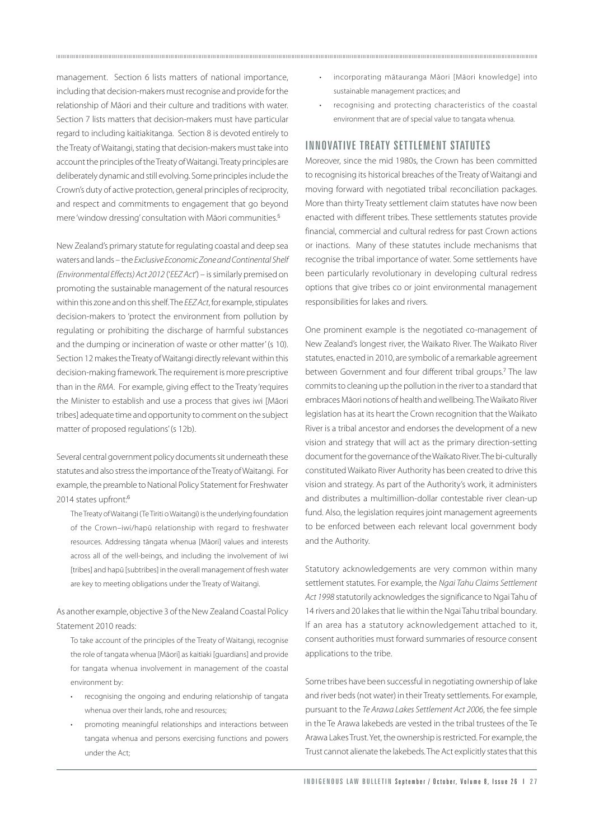management. Section 6 lists matters of national importance, including that decision-makers must recognise and provide for the relationship of Māori and their culture and traditions with water. Section 7 lists matters that decision-makers must have particular regard to including kaitiakitanga. Section 8 is devoted entirely to the Treaty of Waitangi, stating that decision-makers must take into account the principles of the Treaty of Waitangi. Treaty principles are deliberately dynamic and still evolving. Some principles include the Crown's duty of active protection, general principles of reciprocity, and respect and commitments to engagement that go beyond mere 'window dressing' consultation with Māori communities.<sup>5</sup>

New Zealand's primary statute for regulating coastal and deep sea waters and lands – the Exclusive Economic Zone and Continental Shelf (Environmental Effects) Act 2012 ('EEZ Act') – is similarly premised on promoting the sustainable management of the natural resources within this zone and on this shelf. The EEZ Act, for example, stipulates decision-makers to 'protect the environment from pollution by regulating or prohibiting the discharge of harmful substances and the dumping or incineration of waste or other matter' (s 10). Section 12 makes the Treaty of Waitangi directly relevant within this decision-making framework. The requirement is more prescriptive than in the RMA. For example, giving effect to the Treaty 'requires the Minister to establish and use a process that gives iwi [Māori tribes] adequate time and opportunity to comment on the subject matter of proposed regulations' (s 12b).

Several central government policy documents sit underneath these statutes and also stress the importance of the Treaty of Waitangi. For example, the preamble to National Policy Statement for Freshwater 2014 states upfront:<sup>6</sup>

The Treaty of Waitangi (Te Tiriti o Waitangi) is the underlying foundation of the Crown–iwi/hapū relationship with regard to freshwater resources. Addressing tāngata whenua [Māori] values and interests across all of the well-beings, and including the involvement of iwi [tribes] and hapū [subtribes] in the overall management of fresh water are key to meeting obligations under the Treaty of Waitangi.

As another example, objective 3 of the New Zealand Coastal Policy Statement 2010 reads:

To take account of the principles of the Treaty of Waitangi, recognise the role of tangata whenua [Māori] as kaitiaki [guardians] and provide for tangata whenua involvement in management of the coastal environment by:

- recognising the ongoing and enduring relationship of tangata whenua over their lands, rohe and resources;
- promoting meaningful relationships and interactions between tangata whenua and persons exercising functions and powers under the Act;

• incorporating mātauranga Māori [Māori knowledge] into sustainable management practices; and

• recognising and protecting characteristics of the coastal environment that are of special value to tangata whenua.

## INNOVATIVE TREATY SETTLEMENT STATUTES

Moreover, since the mid 1980s, the Crown has been committed to recognising its historical breaches of the Treaty of Waitangi and moving forward with negotiated tribal reconciliation packages. More than thirty Treaty settlement claim statutes have now been enacted with different tribes. These settlements statutes provide financial, commercial and cultural redress for past Crown actions or inactions. Many of these statutes include mechanisms that recognise the tribal importance of water. Some settlements have been particularly revolutionary in developing cultural redress options that give tribes co or joint environmental management responsibilities for lakes and rivers.

One prominent example is the negotiated co-management of New Zealand's longest river, the Waikato River. The Waikato River statutes, enacted in 2010, are symbolic of a remarkable agreement between Government and four different tribal groups.<sup>7</sup> The law commits to cleaning up the pollution in the river to a standard that embraces Māori notions of health and wellbeing. The Waikato River legislation has at its heart the Crown recognition that the Waikato River is a tribal ancestor and endorses the development of a new vision and strategy that will act as the primary direction-setting document for the governance of the Waikato River. The bi-culturally constituted Waikato River Authority has been created to drive this vision and strategy. As part of the Authority's work, it administers and distributes a multimillion-dollar contestable river clean-up fund. Also, the legislation requires joint management agreements to be enforced between each relevant local government body and the Authority.

Statutory acknowledgements are very common within many settlement statutes. For example, the Ngai Tahu Claims Settlement Act 1998 statutorily acknowledges the significance to Ngai Tahu of 14 rivers and 20 lakes that lie within the Ngai Tahu tribal boundary. If an area has a statutory acknowledgement attached to it, consent authorities must forward summaries of resource consent applications to the tribe.

Some tribes have been successful in negotiating ownership of lake and river beds (not water) in their Treaty settlements. For example, pursuant to the Te Arawa Lakes Settlement Act 2006, the fee simple in the Te Arawa lakebeds are vested in the tribal trustees of the Te Arawa Lakes Trust. Yet, the ownership is restricted. For example, the Trust cannot alienate the lakebeds. The Act explicitly states that this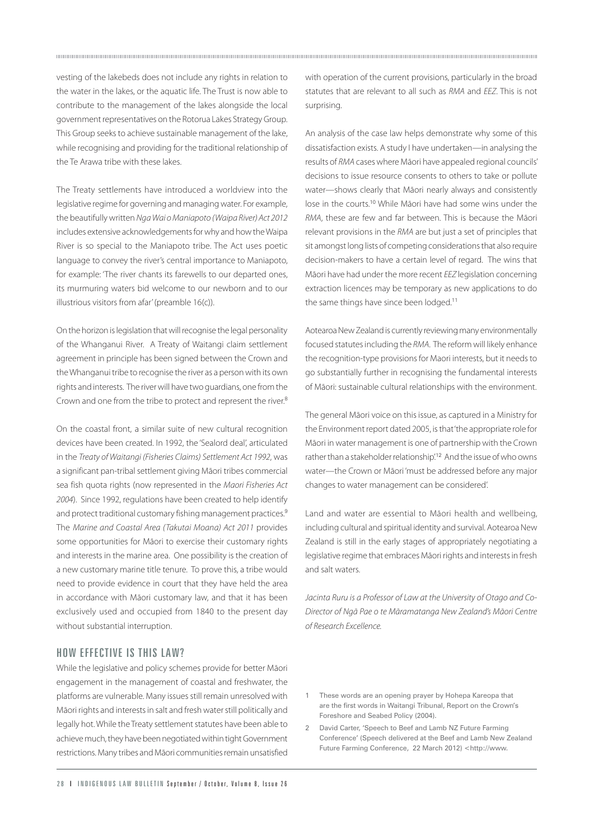vesting of the lakebeds does not include any rights in relation to the water in the lakes, or the aquatic life. The Trust is now able to contribute to the management of the lakes alongside the local government representatives on the Rotorua Lakes Strategy Group. This Group seeks to achieve sustainable management of the lake, while recognising and providing for the traditional relationship of the Te Arawa tribe with these lakes.

The Treaty settlements have introduced a worldview into the legislative regime for governing and managing water. For example, the beautifully written Nga Wai o Maniapoto (Waipa River) Act 2012 includes extensive acknowledgements for why and how the Waipa River is so special to the Maniapoto tribe. The Act uses poetic language to convey the river's central importance to Maniapoto, for example: 'The river chants its farewells to our departed ones, its murmuring waters bid welcome to our newborn and to our illustrious visitors from afar' (preamble 16(c)).

On the horizon is legislation that will recognise the legal personality of the Whanganui River. A Treaty of Waitangi claim settlement agreement in principle has been signed between the Crown and the Whanganui tribe to recognise the river as a person with its own rights and interests. The river will have two guardians, one from the Crown and one from the tribe to protect and represent the river.<sup>8</sup>

On the coastal front, a similar suite of new cultural recognition devices have been created. In 1992, the 'Sealord deal', articulated in the Treaty of Waitangi (Fisheries Claims) Settlement Act 1992, was a significant pan-tribal settlement giving Māori tribes commercial sea fish quota rights (now represented in the Maori Fisheries Act 2004). Since 1992, regulations have been created to help identify and protect traditional customary fishing management practices.<sup>9</sup> The Marine and Coastal Area (Takutai Moana) Act 2011 provides some opportunities for Māori to exercise their customary rights and interests in the marine area. One possibility is the creation of a new customary marine title tenure. To prove this, a tribe would need to provide evidence in court that they have held the area in accordance with Māori customary law, and that it has been exclusively used and occupied from 1840 to the present day without substantial interruption.

## HOW EFFECTIVE IS THIS LAW?

While the legislative and policy schemes provide for better Māori engagement in the management of coastal and freshwater, the platforms are vulnerable. Many issues still remain unresolved with Māori rights and interests in salt and fresh water still politically and legally hot. While the Treaty settlement statutes have been able to achieve much, they have been negotiated within tight Government restrictions. Many tribes and Māori communities remain unsatisfied

with operation of the current provisions, particularly in the broad statutes that are relevant to all such as RMA and EEZ. This is not surprising.

An analysis of the case law helps demonstrate why some of this dissatisfaction exists. A study I have undertaken—in analysing the results of RMA cases where Māori have appealed regional councils' decisions to issue resource consents to others to take or pollute water—shows clearly that Māori nearly always and consistently lose in the courts.<sup>10</sup> While Māori have had some wins under the RMA, these are few and far between. This is because the Māori relevant provisions in the RMA are but just a set of principles that sit amongst long lists of competing considerations that also require decision-makers to have a certain level of regard. The wins that Māori have had under the more recent EEZ legislation concerning extraction licences may be temporary as new applications to do the same things have since been lodged.<sup>11</sup>

Aotearoa New Zealand is currently reviewing many environmentally focused statutes including the RMA. The reform will likely enhance the recognition-type provisions for Maori interests, but it needs to go substantially further in recognising the fundamental interests of Māori: sustainable cultural relationships with the environment.

The general Māori voice on this issue, as captured in a Ministry for the Environment report dated 2005, is that 'the appropriate role for Māori in water management is one of partnership with the Crown rather than a stakeholder relationship<sup>'12</sup> And the issue of who owns water—the Crown or Māori 'must be addressed before any major changes to water management can be considered'.

Land and water are essential to Māori health and wellbeing, including cultural and spiritual identity and survival. Aotearoa New Zealand is still in the early stages of appropriately negotiating a legislative regime that embraces Māori rights and interests in fresh and salt waters.

Jacinta Ruru is a Professor of Law at the University of Otago and Co-Director of Ngā Pae o te Māramatanga New Zealand's Māori Centre of Research Excellence.

- 1 These words are an opening prayer by Hohepa Kareopa that are the first words in Waitangi Tribunal, Report on the Crown's Foreshore and Seabed Policy (2004).
- 2 David Carter, 'Speech to Beef and Lamb NZ Future Farming Conference' (Speech delivered at the Beef and Lamb New Zealand Future Farming Conference, 22 March 2012) <http://www.